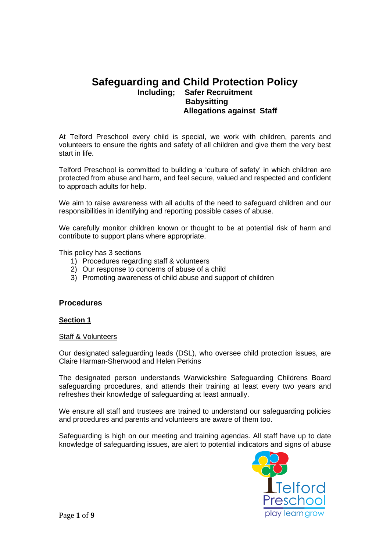# **Safeguarding and Child Protection Policy Including; Safer Recruitment Babysitting Allegations against Staff**

At Telford Preschool every child is special, we work with children, parents and volunteers to ensure the rights and safety of all children and give them the very best start in life.

Telford Preschool is committed to building a 'culture of safety' in which children are protected from abuse and harm, and feel secure, valued and respected and confident to approach adults for help.

We aim to raise awareness with all adults of the need to safeguard children and our responsibilities in identifying and reporting possible cases of abuse.

We carefully monitor children known or thought to be at potential risk of harm and contribute to support plans where appropriate.

This policy has 3 sections

- 1) Procedures regarding staff & volunteers
- 2) Our response to concerns of abuse of a child
- 3) Promoting awareness of child abuse and support of children

### **Procedures**

#### **Section 1**

#### **Staff & Volunteers**

Our designated safeguarding leads (DSL), who oversee child protection issues, are Claire Harman-Sherwood and Helen Perkins

The designated person understands Warwickshire Safeguarding Childrens Board safeguarding procedures, and attends their training at least every two years and refreshes their knowledge of safeguarding at least annually.

We ensure all staff and trustees are trained to understand our safeguarding policies and procedures and parents and volunteers are aware of them too.

Safeguarding is high on our meeting and training agendas. All staff have up to date knowledge of safeguarding issues, are alert to potential indicators and signs of abuse

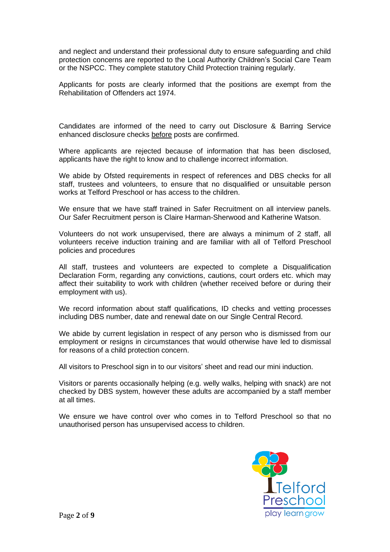and neglect and understand their professional duty to ensure safeguarding and child protection concerns are reported to the Local Authority Children's Social Care Team or the NSPCC. They complete statutory Child Protection training regularly.

Applicants for posts are clearly informed that the positions are exempt from the Rehabilitation of Offenders act 1974.

Candidates are informed of the need to carry out Disclosure & Barring Service enhanced disclosure checks before posts are confirmed.

Where applicants are rejected because of information that has been disclosed, applicants have the right to know and to challenge incorrect information.

We abide by Ofsted requirements in respect of references and DBS checks for all staff, trustees and volunteers, to ensure that no disqualified or unsuitable person works at Telford Preschool or has access to the children.

We ensure that we have staff trained in Safer Recruitment on all interview panels. Our Safer Recruitment person is Claire Harman-Sherwood and Katherine Watson.

Volunteers do not work unsupervised, there are always a minimum of 2 staff, all volunteers receive induction training and are familiar with all of Telford Preschool policies and procedures

All staff, trustees and volunteers are expected to complete a Disqualification Declaration Form, regarding any convictions, cautions, court orders etc. which may affect their suitability to work with children (whether received before or during their employment with us).

We record information about staff qualifications, ID checks and vetting processes including DBS number, date and renewal date on our Single Central Record.

We abide by current legislation in respect of any person who is dismissed from our employment or resigns in circumstances that would otherwise have led to dismissal for reasons of a child protection concern.

All visitors to Preschool sign in to our visitors' sheet and read our mini induction.

Visitors or parents occasionally helping (e.g. welly walks, helping with snack) are not checked by DBS system, however these adults are accompanied by a staff member at all times.

We ensure we have control over who comes in to Telford Preschool so that no unauthorised person has unsupervised access to children.

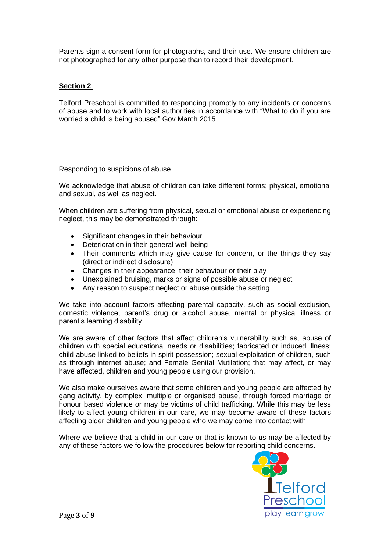Parents sign a consent form for photographs, and their use. We ensure children are not photographed for any other purpose than to record their development.

# **Section 2**

Telford Preschool is committed to responding promptly to any incidents or concerns of abuse and to work with local authorities in accordance with "What to do if you are worried a child is being abused" Gov March 2015

### Responding to suspicions of abuse

We acknowledge that abuse of children can take different forms; physical, emotional and sexual, as well as neglect.

When children are suffering from physical, sexual or emotional abuse or experiencing neglect, this may be demonstrated through:

- Significant changes in their behaviour
- Deterioration in their general well-being
- Their comments which may give cause for concern, or the things they say (direct or indirect disclosure)
- Changes in their appearance, their behaviour or their play
- Unexplained bruising, marks or signs of possible abuse or neglect
- Any reason to suspect neglect or abuse outside the setting

We take into account factors affecting parental capacity, such as social exclusion, domestic violence, parent's drug or alcohol abuse, mental or physical illness or parent's learning disability

We are aware of other factors that affect children's vulnerability such as, abuse of children with special educational needs or disabilities; fabricated or induced illness; child abuse linked to beliefs in spirit possession; sexual exploitation of children, such as through internet abuse; and Female Genital Mutilation; that may affect, or may have affected, children and young people using our provision.

We also make ourselves aware that some children and young people are affected by gang activity, by complex, multiple or organised abuse, through forced marriage or honour based violence or may be victims of child trafficking. While this may be less likely to affect young children in our care, we may become aware of these factors affecting older children and young people who we may come into contact with.

Where we believe that a child in our care or that is known to us may be affected by any of these factors we follow the procedures below for reporting child concerns.

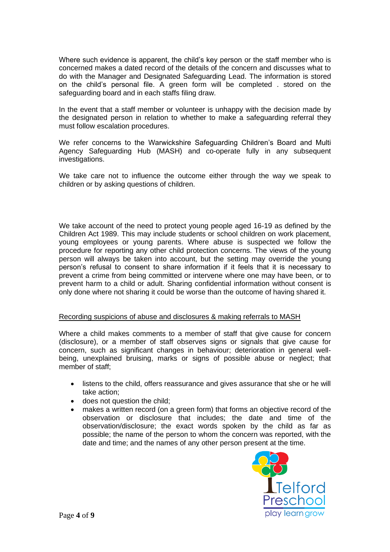Where such evidence is apparent, the child's key person or the staff member who is concerned makes a dated record of the details of the concern and discusses what to do with the Manager and Designated Safeguarding Lead. The information is stored on the child's personal file. A green form will be completed . stored on the safeguarding board and in each staffs filing draw.

In the event that a staff member or volunteer is unhappy with the decision made by the designated person in relation to whether to make a safeguarding referral they must follow escalation procedures.

We refer concerns to the Warwickshire Safeguarding Children's Board and Multi Agency Safeguarding Hub (MASH) and co-operate fully in any subsequent investigations.

We take care not to influence the outcome either through the way we speak to children or by asking questions of children.

We take account of the need to protect young people aged 16-19 as defined by the Children Act 1989. This may include students or school children on work placement, young employees or young parents. Where abuse is suspected we follow the procedure for reporting any other child protection concerns. The views of the young person will always be taken into account, but the setting may override the young person's refusal to consent to share information if it feels that it is necessary to prevent a crime from being committed or intervene where one may have been, or to prevent harm to a child or adult. Sharing confidential information without consent is only done where not sharing it could be worse than the outcome of having shared it.

### Recording suspicions of abuse and disclosures & making referrals to MASH

Where a child makes comments to a member of staff that give cause for concern (disclosure), or a member of staff observes signs or signals that give cause for concern, such as significant changes in behaviour; deterioration in general wellbeing, unexplained bruising, marks or signs of possible abuse or neglect; that member of staff;

- listens to the child, offers reassurance and gives assurance that she or he will take action;
- does not question the child;
- makes a written record (on a green form) that forms an objective record of the observation or disclosure that includes; the date and time of the observation/disclosure; the exact words spoken by the child as far as possible; the name of the person to whom the concern was reported, with the date and time; and the names of any other person present at the time.

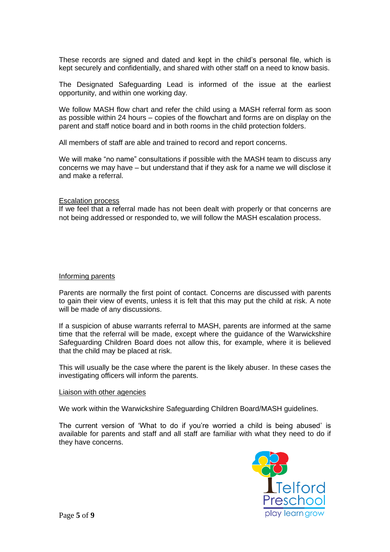These records are signed and dated and kept in the child's personal file, which is kept securely and confidentially, and shared with other staff on a need to know basis.

The Designated Safeguarding Lead is informed of the issue at the earliest opportunity, and within one working day.

We follow MASH flow chart and refer the child using a MASH referral form as soon as possible within 24 hours – copies of the flowchart and forms are on display on the parent and staff notice board and in both rooms in the child protection folders.

All members of staff are able and trained to record and report concerns.

We will make "no name" consultations if possible with the MASH team to discuss any concerns we may have – but understand that if they ask for a name we will disclose it and make a referral.

#### Escalation process

If we feel that a referral made has not been dealt with properly or that concerns are not being addressed or responded to, we will follow the MASH escalation process.

#### Informing parents

Parents are normally the first point of contact. Concerns are discussed with parents to gain their view of events, unless it is felt that this may put the child at risk. A note will be made of any discussions.

If a suspicion of abuse warrants referral to MASH, parents are informed at the same time that the referral will be made, except where the guidance of the Warwickshire Safeguarding Children Board does not allow this, for example, where it is believed that the child may be placed at risk.

This will usually be the case where the parent is the likely abuser. In these cases the investigating officers will inform the parents.

#### Liaison with other agencies

We work within the Warwickshire Safeguarding Children Board/MASH guidelines.

The current version of 'What to do if you're worried a child is being abused' is available for parents and staff and all staff are familiar with what they need to do if they have concerns.

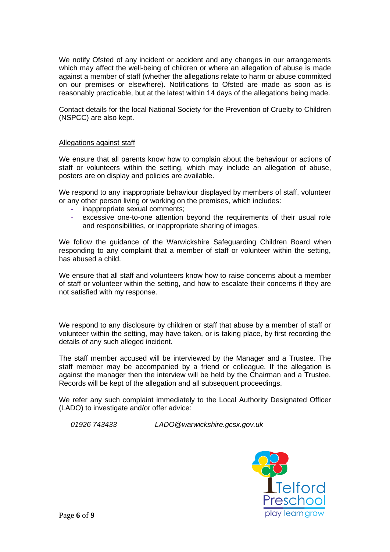We notify Ofsted of any incident or accident and any changes in our arrangements which may affect the well-being of children or where an allegation of abuse is made against a member of staff (whether the allegations relate to harm or abuse committed on our premises or elsewhere). Notifications to Ofsted are made as soon as is reasonably practicable, but at the latest within 14 days of the allegations being made.

Contact details for the local National Society for the Prevention of Cruelty to Children (NSPCC) are also kept.

### Allegations against staff

We ensure that all parents know how to complain about the behaviour or actions of staff or volunteers within the setting, which may include an allegation of abuse, posters are on display and policies are available.

We respond to any inappropriate behaviour displayed by members of staff, volunteer or any other person living or working on the premises, which includes:

- **-** inappropriate sexual comments;
- **-** excessive one-to-one attention beyond the requirements of their usual role and responsibilities, or inappropriate sharing of images.

We follow the guidance of the Warwickshire Safeguarding Children Board when responding to any complaint that a member of staff or volunteer within the setting, has abused a child.

We ensure that all staff and volunteers know how to raise concerns about a member of staff or volunteer within the setting, and how to escalate their concerns if they are not satisfied with my response.

We respond to any disclosure by children or staff that abuse by a member of staff or volunteer within the setting, may have taken, or is taking place, by first recording the details of any such alleged incident.

The staff member accused will be interviewed by the Manager and a Trustee. The staff member may be accompanied by a friend or colleague. If the allegation is against the manager then the interview will be held by the Chairman and a Trustee. Records will be kept of the allegation and all subsequent proceedings.

We refer any such complaint immediately to the Local Authority Designated Officer (LADO) to investigate and/or offer advice:

*01926 743433 LADO@warwickshire.gcsx.gov.uk*

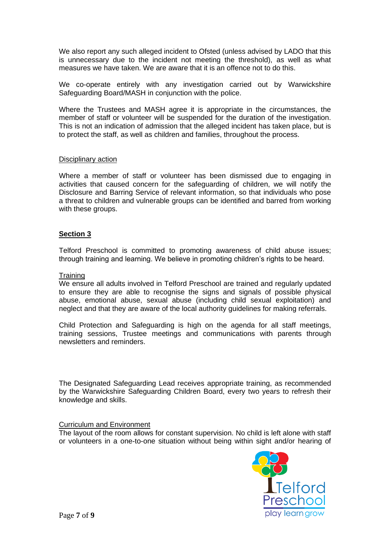We also report any such alleged incident to Ofsted (unless advised by LADO that this is unnecessary due to the incident not meeting the threshold), as well as what measures we have taken. We are aware that it is an offence not to do this.

We co-operate entirely with any investigation carried out by Warwickshire Safeguarding Board/MASH in conjunction with the police.

Where the Trustees and MASH agree it is appropriate in the circumstances, the member of staff or volunteer will be suspended for the duration of the investigation. This is not an indication of admission that the alleged incident has taken place, but is to protect the staff, as well as children and families, throughout the process.

### Disciplinary action

Where a member of staff or volunteer has been dismissed due to engaging in activities that caused concern for the safeguarding of children, we will notify the Disclosure and Barring Service of relevant information, so that individuals who pose a threat to children and vulnerable groups can be identified and barred from working with these groups.

## **Section 3**

Telford Preschool is committed to promoting awareness of child abuse issues; through training and learning. We believe in promoting children's rights to be heard.

### **Training**

We ensure all adults involved in Telford Preschool are trained and regularly updated to ensure they are able to recognise the signs and signals of possible physical abuse, emotional abuse, sexual abuse (including child sexual exploitation) and neglect and that they are aware of the local authority guidelines for making referrals.

Child Protection and Safeguarding is high on the agenda for all staff meetings, training sessions, Trustee meetings and communications with parents through newsletters and reminders.

The Designated Safeguarding Lead receives appropriate training, as recommended by the Warwickshire Safeguarding Children Board, every two years to refresh their knowledge and skills.

### Curriculum and Environment

The layout of the room allows for constant supervision. No child is left alone with staff or volunteers in a one-to-one situation without being within sight and/or hearing of

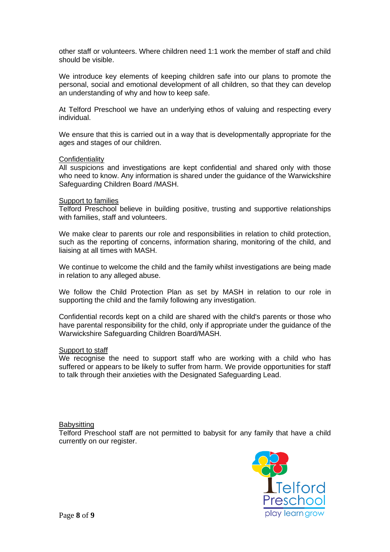other staff or volunteers. Where children need 1:1 work the member of staff and child should be visible.

We introduce key elements of keeping children safe into our plans to promote the personal, social and emotional development of all children, so that they can develop an understanding of why and how to keep safe.

At Telford Preschool we have an underlying ethos of valuing and respecting every individual.

We ensure that this is carried out in a way that is developmentally appropriate for the ages and stages of our children.

#### **Confidentiality**

All suspicions and investigations are kept confidential and shared only with those who need to know. Any information is shared under the guidance of the Warwickshire Safeguarding Children Board /MASH.

#### **Support to families**

Telford Preschool believe in building positive, trusting and supportive relationships with families, staff and volunteers.

We make clear to parents our role and responsibilities in relation to child protection, such as the reporting of concerns, information sharing, monitoring of the child, and liaising at all times with MASH.

We continue to welcome the child and the family whilst investigations are being made in relation to any alleged abuse.

We follow the Child Protection Plan as set by MASH in relation to our role in supporting the child and the family following any investigation.

Confidential records kept on a child are shared with the child's parents or those who have parental responsibility for the child, only if appropriate under the guidance of the Warwickshire Safeguarding Children Board/MASH.

### Support to staff

We recognise the need to support staff who are working with a child who has suffered or appears to be likely to suffer from harm. We provide opportunities for staff to talk through their anxieties with the Designated Safeguarding Lead.

### **Babysitting**

Telford Preschool staff are not permitted to babysit for any family that have a child currently on our register.